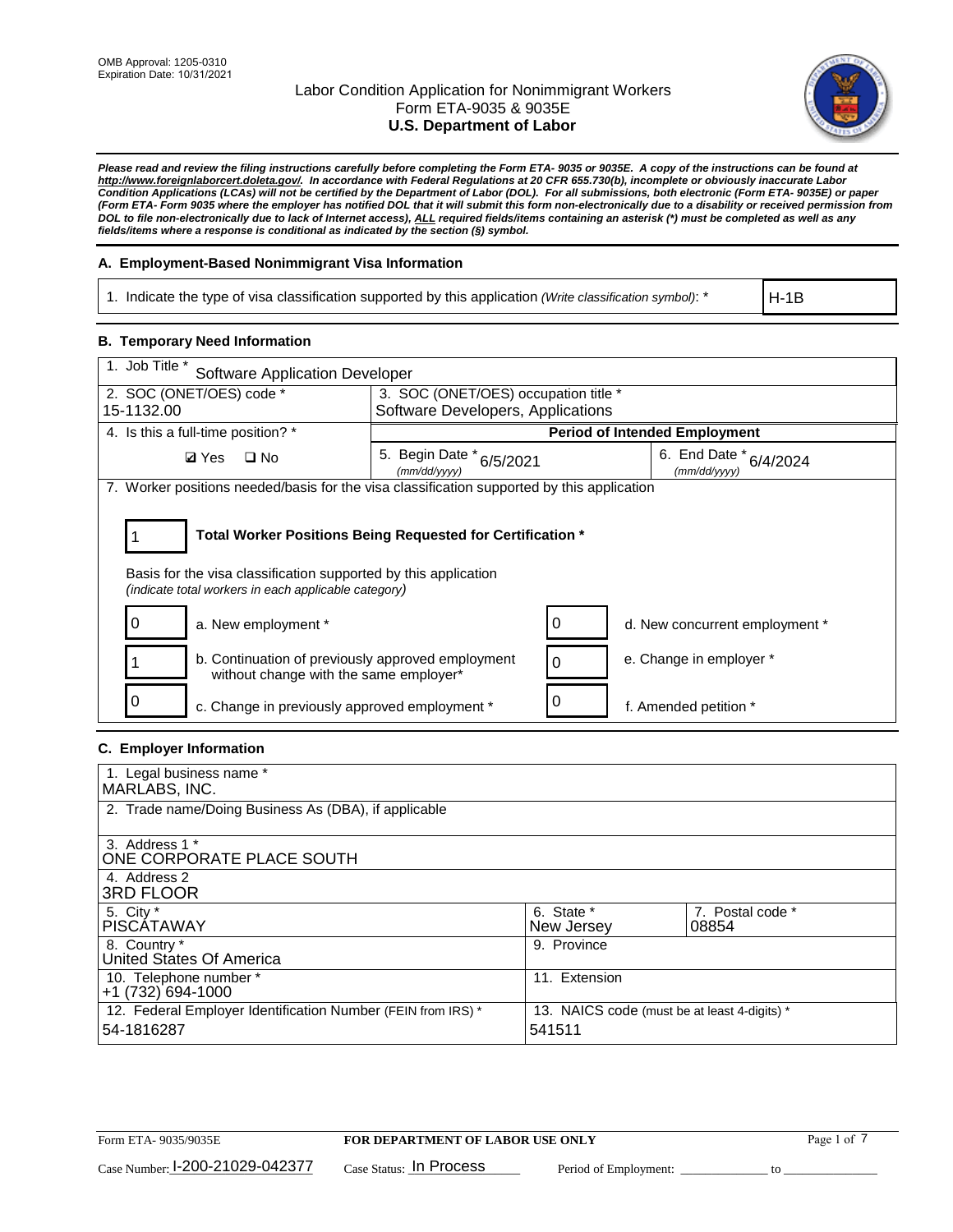

*Please read and review the filing instructions carefully before completing the Form ETA- 9035 or 9035E. A copy of the instructions can be found at http://www.foreignlaborcert.doleta.gov/. In accordance with Federal Regulations at 20 CFR 655.730(b), incomplete or obviously inaccurate Labor Condition Applications (LCAs) will not be certified by the Department of Labor (DOL). For all submissions, both electronic (Form ETA- 9035E) or paper (Form ETA- Form 9035 where the employer has notified DOL that it will submit this form non-electronically due to a disability or received permission from DOL to file non-electronically due to lack of Internet access), ALL required fields/items containing an asterisk (\*) must be completed as well as any fields/items where a response is conditional as indicated by the section (§) symbol.* 

# **A. Employment-Based Nonimmigrant Visa Information**

1. Indicate the type of visa classification supported by this application *(Write classification symbol)*: \*

H-1B

## **B. Temporary Need Information**

| 1. Job Title *<br><b>Software Application Developer</b>                                                                                                                               |                                          |  |                                            |  |  |  |
|---------------------------------------------------------------------------------------------------------------------------------------------------------------------------------------|------------------------------------------|--|--------------------------------------------|--|--|--|
| 2. SOC (ONET/OES) code *                                                                                                                                                              | 3. SOC (ONET/OES) occupation title *     |  |                                            |  |  |  |
| 15-1132.00                                                                                                                                                                            | Software Developers, Applications        |  |                                            |  |  |  |
| 4. Is this a full-time position? *                                                                                                                                                    |                                          |  | <b>Period of Intended Employment</b>       |  |  |  |
| $\Box$ No<br><b>Ø</b> Yes                                                                                                                                                             | 5. Begin Date * 6/5/2021<br>(mm/dd/yyyy) |  | 6. End Date $*_{6/4/2024}$<br>(mm/dd/yyyy) |  |  |  |
| 7. Worker positions needed/basis for the visa classification supported by this application                                                                                            |                                          |  |                                            |  |  |  |
| Total Worker Positions Being Requested for Certification *<br>Basis for the visa classification supported by this application<br>(indicate total workers in each applicable category) |                                          |  |                                            |  |  |  |
| a. New employment *                                                                                                                                                                   |                                          |  | d. New concurrent employment *             |  |  |  |
| b. Continuation of previously approved employment<br>without change with the same employer*                                                                                           |                                          |  | e. Change in employer *                    |  |  |  |
| c. Change in previously approved employment *                                                                                                                                         |                                          |  | f. Amended petition *                      |  |  |  |

### **C. Employer Information**

| 1. Legal business name *                                     |                                              |                  |
|--------------------------------------------------------------|----------------------------------------------|------------------|
| MARLABS, INC.                                                |                                              |                  |
| 2. Trade name/Doing Business As (DBA), if applicable         |                                              |                  |
|                                                              |                                              |                  |
| 3. Address 1 *                                               |                                              |                  |
| ONE CORPORATE PLACE SOUTH                                    |                                              |                  |
| 4. Address 2                                                 |                                              |                  |
| <b>3RD FLOOR</b>                                             |                                              |                  |
| 5. City *                                                    | 6. State *                                   | 7. Postal code * |
| PISCÁTAWAY                                                   | New Jersey                                   | 08854            |
| 8. Country *                                                 | 9. Province                                  |                  |
| United States Of America                                     |                                              |                  |
| 10. Telephone number *                                       | 11. Extension                                |                  |
| +1 (732) 694-1000                                            |                                              |                  |
| 12. Federal Employer Identification Number (FEIN from IRS) * | 13. NAICS code (must be at least 4-digits) * |                  |
| 54-1816287                                                   | 541511                                       |                  |
|                                                              |                                              |                  |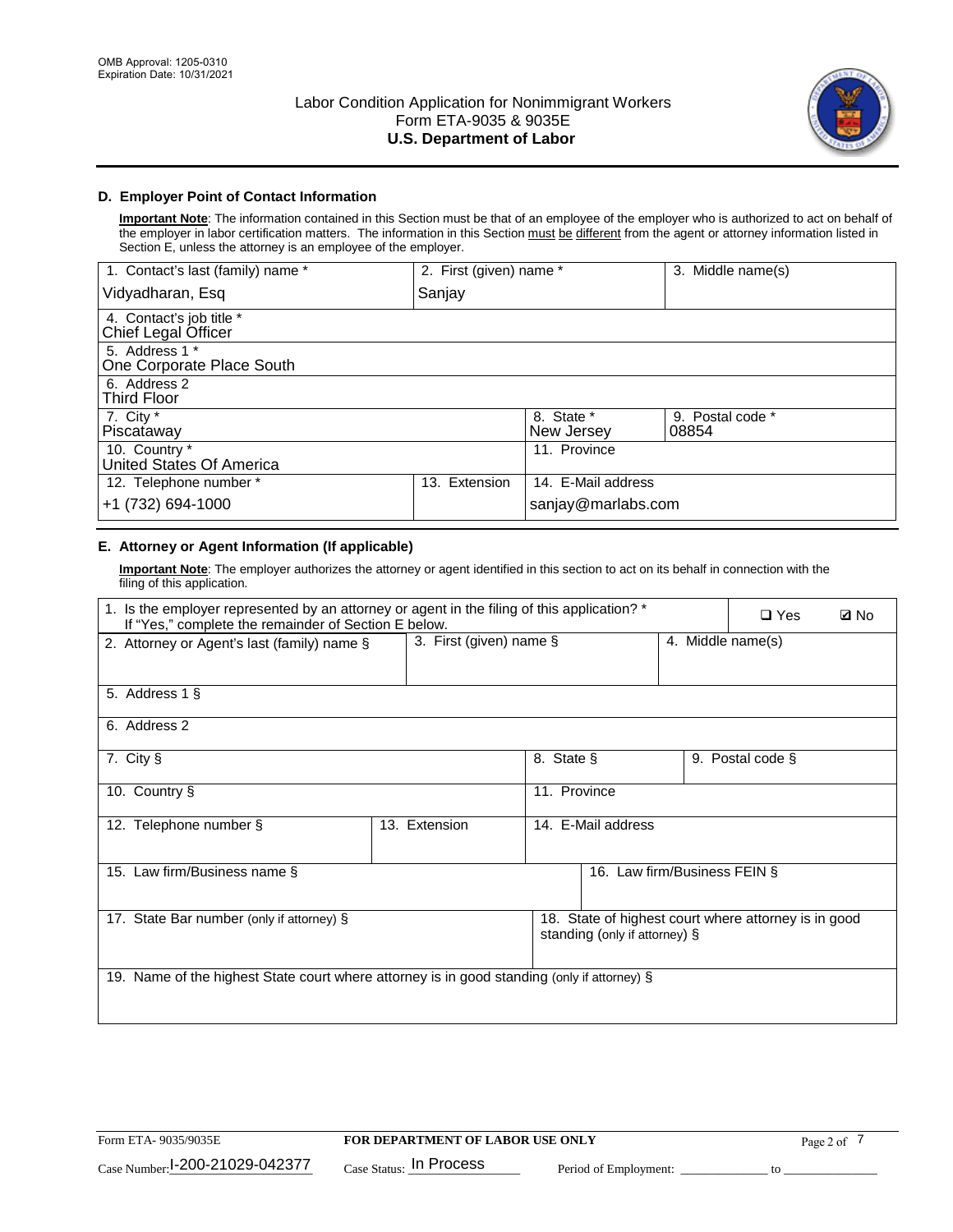

## **D. Employer Point of Contact Information**

**Important Note**: The information contained in this Section must be that of an employee of the employer who is authorized to act on behalf of the employer in labor certification matters. The information in this Section must be different from the agent or attorney information listed in Section E, unless the attorney is an employee of the employer.

| 1. Contact's last (family) name *               | 2. First (given) name * |                          | 3. Middle name(s)         |
|-------------------------------------------------|-------------------------|--------------------------|---------------------------|
| Vidyadharan, Esq                                | Sanjay                  |                          |                           |
| 4. Contact's job title *<br>Chief Legal Officer |                         |                          |                           |
| 5. Address 1 *<br>One Corporate Place South     |                         |                          |                           |
| 6. Address 2<br><b>Third Floor</b>              |                         |                          |                           |
| 7. City $*$<br>Piscataway                       |                         | 8. State *<br>New Jersey | 9. Postal code *<br>08854 |
| 10. Country *<br>United States Of America       |                         | 11. Province             |                           |
| 12. Telephone number *                          | Extension<br>13.        | 14. E-Mail address       |                           |
| +1 (732) 694-1000                               |                         | sanjay@marlabs.com       |                           |

## **E. Attorney or Agent Information (If applicable)**

**Important Note**: The employer authorizes the attorney or agent identified in this section to act on its behalf in connection with the filing of this application.

| 1. Is the employer represented by an attorney or agent in the filing of this application? *<br>If "Yes," complete the remainder of Section E below. |               | $\Box$ Yes                                      | <b>Ø</b> No                   |  |                                                      |  |
|-----------------------------------------------------------------------------------------------------------------------------------------------------|---------------|-------------------------------------------------|-------------------------------|--|------------------------------------------------------|--|
| 2. Attorney or Agent's last (family) name §                                                                                                         |               | 3. First (given) name $\S$<br>4. Middle name(s) |                               |  |                                                      |  |
| 5. Address 1 §                                                                                                                                      |               |                                                 |                               |  |                                                      |  |
| 6. Address 2                                                                                                                                        |               |                                                 |                               |  |                                                      |  |
| 7. City §                                                                                                                                           |               | 8. State §                                      |                               |  | 9. Postal code §                                     |  |
| 10. Country §                                                                                                                                       |               | 11. Province                                    |                               |  |                                                      |  |
| 12. Telephone number §                                                                                                                              | 13. Extension | 14. E-Mail address                              |                               |  |                                                      |  |
| 15. Law firm/Business name §                                                                                                                        |               |                                                 | 16. Law firm/Business FEIN §  |  |                                                      |  |
| 17. State Bar number (only if attorney) §                                                                                                           |               |                                                 | standing (only if attorney) § |  | 18. State of highest court where attorney is in good |  |
| 19. Name of the highest State court where attorney is in good standing (only if attorney) §                                                         |               |                                                 |                               |  |                                                      |  |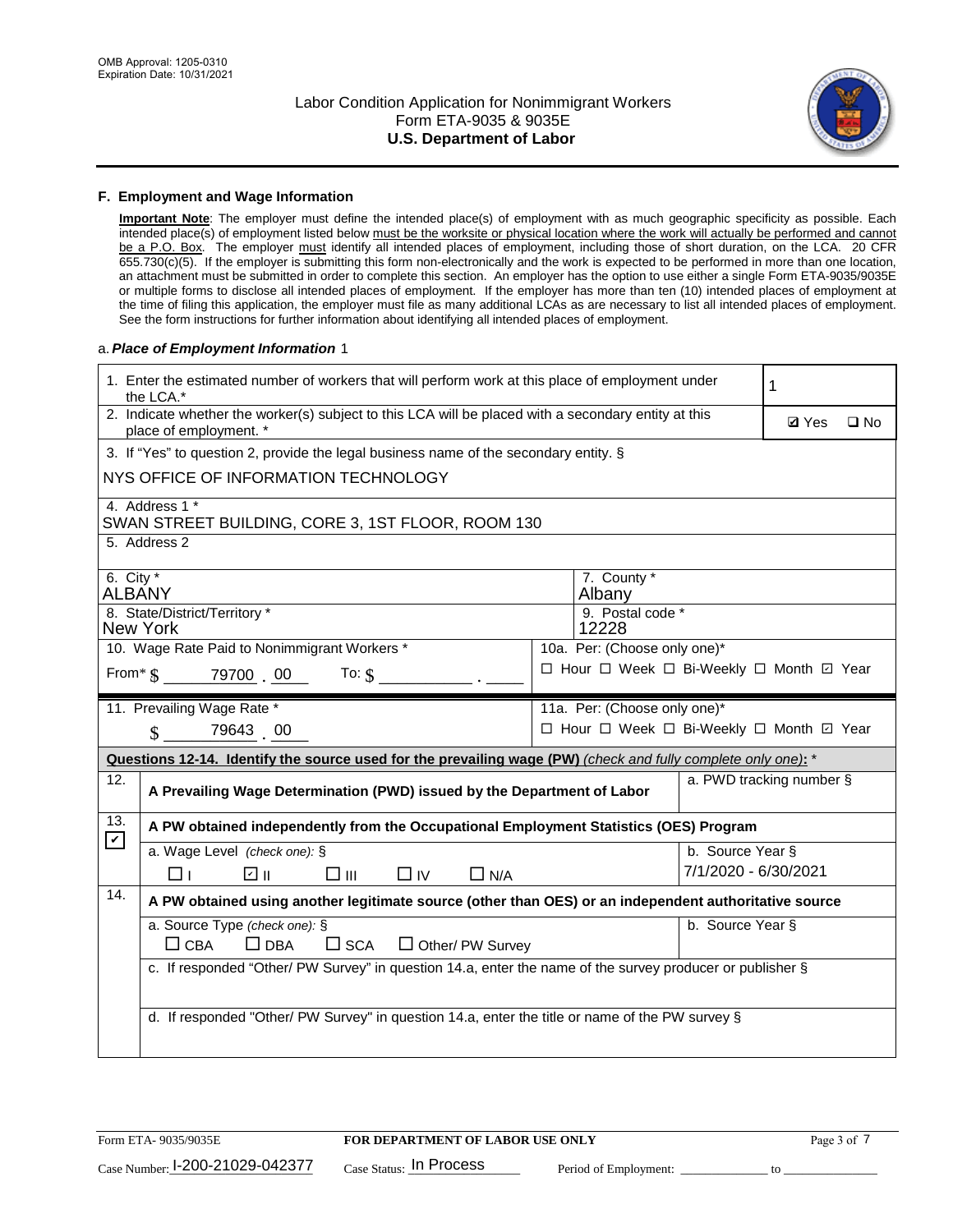

### **F. Employment and Wage Information**

**Important Note**: The employer must define the intended place(s) of employment with as much geographic specificity as possible. Each intended place(s) of employment listed below must be the worksite or physical location where the work will actually be performed and cannot be a P.O. Box. The employer must identify all intended places of employment, including those of short duration, on the LCA. 20 CFR 655.730(c)(5). If the employer is submitting this form non-electronically and the work is expected to be performed in more than one location, an attachment must be submitted in order to complete this section. An employer has the option to use either a single Form ETA-9035/9035E or multiple forms to disclose all intended places of employment. If the employer has more than ten (10) intended places of employment at the time of filing this application, the employer must file as many additional LCAs as are necessary to list all intended places of employment. See the form instructions for further information about identifying all intended places of employment.

### a.*Place of Employment Information* 1

|                                                                               | 1. Enter the estimated number of workers that will perform work at this place of employment under<br>the LCA.*                 |  | 1                                        |                      |                          |              |  |
|-------------------------------------------------------------------------------|--------------------------------------------------------------------------------------------------------------------------------|--|------------------------------------------|----------------------|--------------------------|--------------|--|
|                                                                               | 2. Indicate whether the worker(s) subject to this LCA will be placed with a secondary entity at this<br>place of employment. * |  |                                          |                      | <b>Ø</b> Yes             | $\square$ No |  |
|                                                                               | 3. If "Yes" to question 2, provide the legal business name of the secondary entity. §                                          |  |                                          |                      |                          |              |  |
|                                                                               | NYS OFFICE OF INFORMATION TECHNOLOGY                                                                                           |  |                                          |                      |                          |              |  |
|                                                                               | 4. Address 1 *<br>SWAN STREET BUILDING, CORE 3, 1ST FLOOR, ROOM 130                                                            |  |                                          |                      |                          |              |  |
|                                                                               | 5. Address 2                                                                                                                   |  |                                          |                      |                          |              |  |
|                                                                               | 6. City $*$<br>7. County *<br><b>ALBANY</b><br>Albany                                                                          |  |                                          |                      |                          |              |  |
| 8. State/District/Territory *<br>9. Postal code *<br><b>New York</b><br>12228 |                                                                                                                                |  |                                          |                      |                          |              |  |
| 10. Wage Rate Paid to Nonimmigrant Workers *<br>10a. Per: (Choose only one)*  |                                                                                                                                |  |                                          |                      |                          |              |  |
|                                                                               | □ Hour □ Week □ Bi-Weekly □ Month 回 Year<br>From* \$ 79700 00<br>To: $$$                                                       |  |                                          |                      |                          |              |  |
|                                                                               | 11. Prevailing Wage Rate *<br>11a. Per: (Choose only one)*                                                                     |  |                                          |                      |                          |              |  |
|                                                                               | 79643 00<br>$\mathcal{S}$                                                                                                      |  | □ Hour □ Week □ Bi-Weekly □ Month □ Year |                      |                          |              |  |
|                                                                               | Questions 12-14. Identify the source used for the prevailing wage (PW) (check and fully complete only one): *                  |  |                                          |                      |                          |              |  |
| 12.                                                                           | A Prevailing Wage Determination (PWD) issued by the Department of Labor                                                        |  |                                          |                      | a. PWD tracking number § |              |  |
| 13.<br>$\blacktriangledown$                                                   | A PW obtained independently from the Occupational Employment Statistics (OES) Program                                          |  |                                          |                      |                          |              |  |
|                                                                               | a. Wage Level (check one): §                                                                                                   |  |                                          | b. Source Year §     |                          |              |  |
|                                                                               | ☑ ॥<br>$\square$ $\square$<br>$\square$ IV<br>$\Box$ N/A<br>⊓⊥                                                                 |  |                                          | 7/1/2020 - 6/30/2021 |                          |              |  |
| 14.                                                                           | A PW obtained using another legitimate source (other than OES) or an independent authoritative source                          |  |                                          |                      |                          |              |  |
|                                                                               | a. Source Type (check one): §<br>$\Box$ CBA<br>$\Box$ DBA<br>$\square$ SCA<br>$\Box$ Other/ PW Survey                          |  |                                          | b. Source Year §     |                          |              |  |
|                                                                               | c. If responded "Other/ PW Survey" in question 14.a, enter the name of the survey producer or publisher §                      |  |                                          |                      |                          |              |  |
|                                                                               |                                                                                                                                |  |                                          |                      |                          |              |  |
|                                                                               | d. If responded "Other/ PW Survey" in question 14.a, enter the title or name of the PW survey §                                |  |                                          |                      |                          |              |  |
|                                                                               |                                                                                                                                |  |                                          |                      |                          |              |  |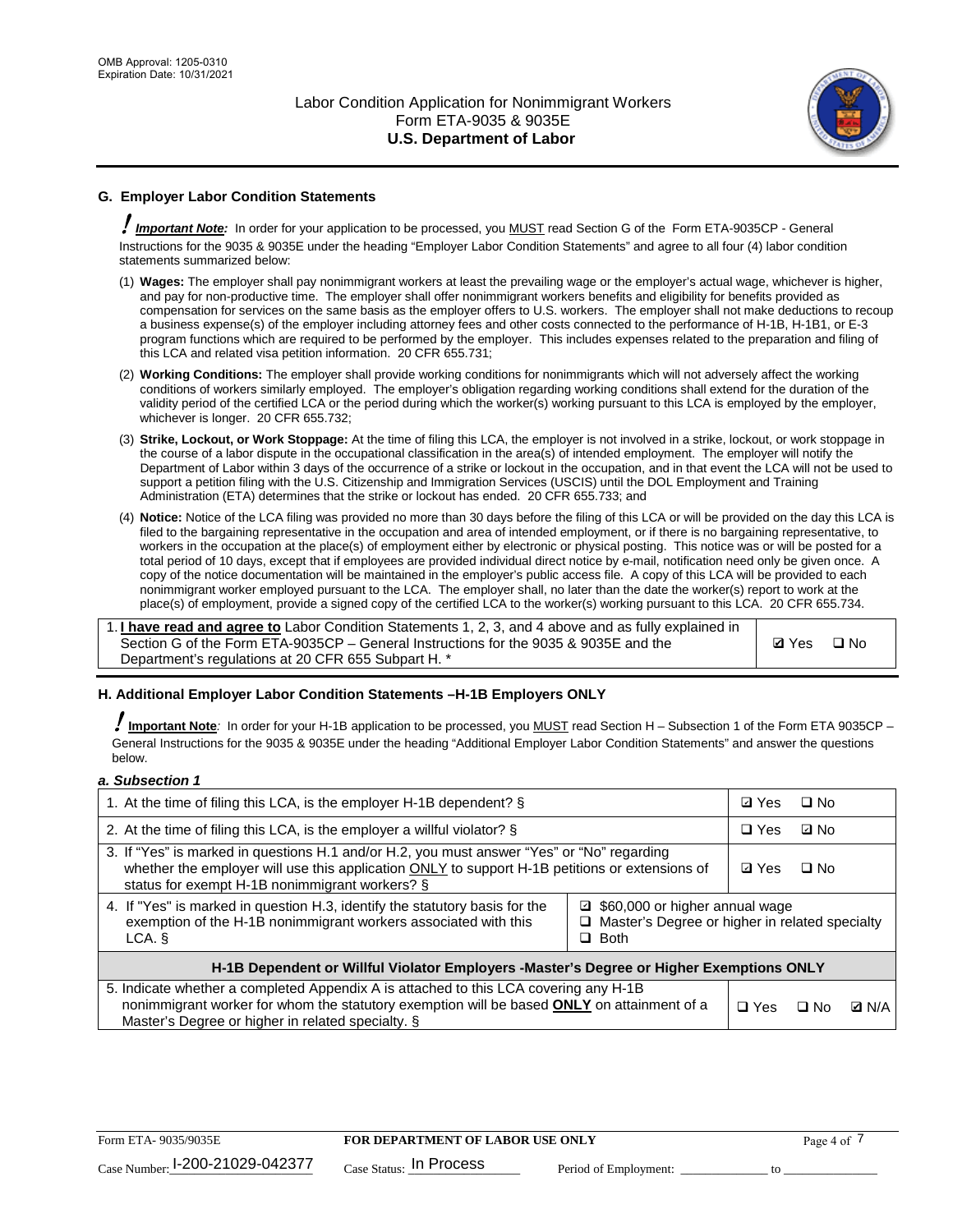

## **G. Employer Labor Condition Statements**

! *Important Note:* In order for your application to be processed, you MUST read Section G of the Form ETA-9035CP - General Instructions for the 9035 & 9035E under the heading "Employer Labor Condition Statements" and agree to all four (4) labor condition statements summarized below:

- (1) **Wages:** The employer shall pay nonimmigrant workers at least the prevailing wage or the employer's actual wage, whichever is higher, and pay for non-productive time. The employer shall offer nonimmigrant workers benefits and eligibility for benefits provided as compensation for services on the same basis as the employer offers to U.S. workers. The employer shall not make deductions to recoup a business expense(s) of the employer including attorney fees and other costs connected to the performance of H-1B, H-1B1, or E-3 program functions which are required to be performed by the employer. This includes expenses related to the preparation and filing of this LCA and related visa petition information. 20 CFR 655.731;
- (2) **Working Conditions:** The employer shall provide working conditions for nonimmigrants which will not adversely affect the working conditions of workers similarly employed. The employer's obligation regarding working conditions shall extend for the duration of the validity period of the certified LCA or the period during which the worker(s) working pursuant to this LCA is employed by the employer, whichever is longer. 20 CFR 655.732;
- (3) **Strike, Lockout, or Work Stoppage:** At the time of filing this LCA, the employer is not involved in a strike, lockout, or work stoppage in the course of a labor dispute in the occupational classification in the area(s) of intended employment. The employer will notify the Department of Labor within 3 days of the occurrence of a strike or lockout in the occupation, and in that event the LCA will not be used to support a petition filing with the U.S. Citizenship and Immigration Services (USCIS) until the DOL Employment and Training Administration (ETA) determines that the strike or lockout has ended. 20 CFR 655.733; and
- (4) **Notice:** Notice of the LCA filing was provided no more than 30 days before the filing of this LCA or will be provided on the day this LCA is filed to the bargaining representative in the occupation and area of intended employment, or if there is no bargaining representative, to workers in the occupation at the place(s) of employment either by electronic or physical posting. This notice was or will be posted for a total period of 10 days, except that if employees are provided individual direct notice by e-mail, notification need only be given once. A copy of the notice documentation will be maintained in the employer's public access file. A copy of this LCA will be provided to each nonimmigrant worker employed pursuant to the LCA. The employer shall, no later than the date the worker(s) report to work at the place(s) of employment, provide a signed copy of the certified LCA to the worker(s) working pursuant to this LCA. 20 CFR 655.734.

1. **I have read and agree to** Labor Condition Statements 1, 2, 3, and 4 above and as fully explained in Section G of the Form ETA-9035CP – General Instructions for the 9035 & 9035E and the Department's regulations at 20 CFR 655 Subpart H. \*

**Ø**Yes ロNo

### **H. Additional Employer Labor Condition Statements –H-1B Employers ONLY**

!**Important Note***:* In order for your H-1B application to be processed, you MUST read Section H – Subsection 1 of the Form ETA 9035CP – General Instructions for the 9035 & 9035E under the heading "Additional Employer Labor Condition Statements" and answer the questions below.

#### *a. Subsection 1*

| 1. At the time of filing this LCA, is the employer H-1B dependent? §                                                                                                                                                                                            | ⊡ Yes | □ No       |           |              |
|-----------------------------------------------------------------------------------------------------------------------------------------------------------------------------------------------------------------------------------------------------------------|-------|------------|-----------|--------------|
| 2. At the time of filing this LCA, is the employer a willful violator? $\S$                                                                                                                                                                                     |       | $\Box$ Yes | ⊡ No      |              |
| 3. If "Yes" is marked in questions H.1 and/or H.2, you must answer "Yes" or "No" regarding<br>whether the employer will use this application ONLY to support H-1B petitions or extensions of<br>status for exempt H-1B nonimmigrant workers? §                  |       |            | $\Box$ No |              |
| 4. If "Yes" is marked in question H.3, identify the statutory basis for the<br>■ \$60,000 or higher annual wage<br>exemption of the H-1B nonimmigrant workers associated with this<br>□ Master's Degree or higher in related specialty<br>$\Box$ Both<br>LCA. § |       |            |           |              |
| H-1B Dependent or Willful Violator Employers -Master's Degree or Higher Exemptions ONLY                                                                                                                                                                         |       |            |           |              |
| 5. Indicate whether a completed Appendix A is attached to this LCA covering any H-1B<br>nonimmigrant worker for whom the statutory exemption will be based <b>ONLY</b> on attainment of a<br>Master's Degree or higher in related specialty. §                  |       |            | ⊡ No      | <b>D</b> N/A |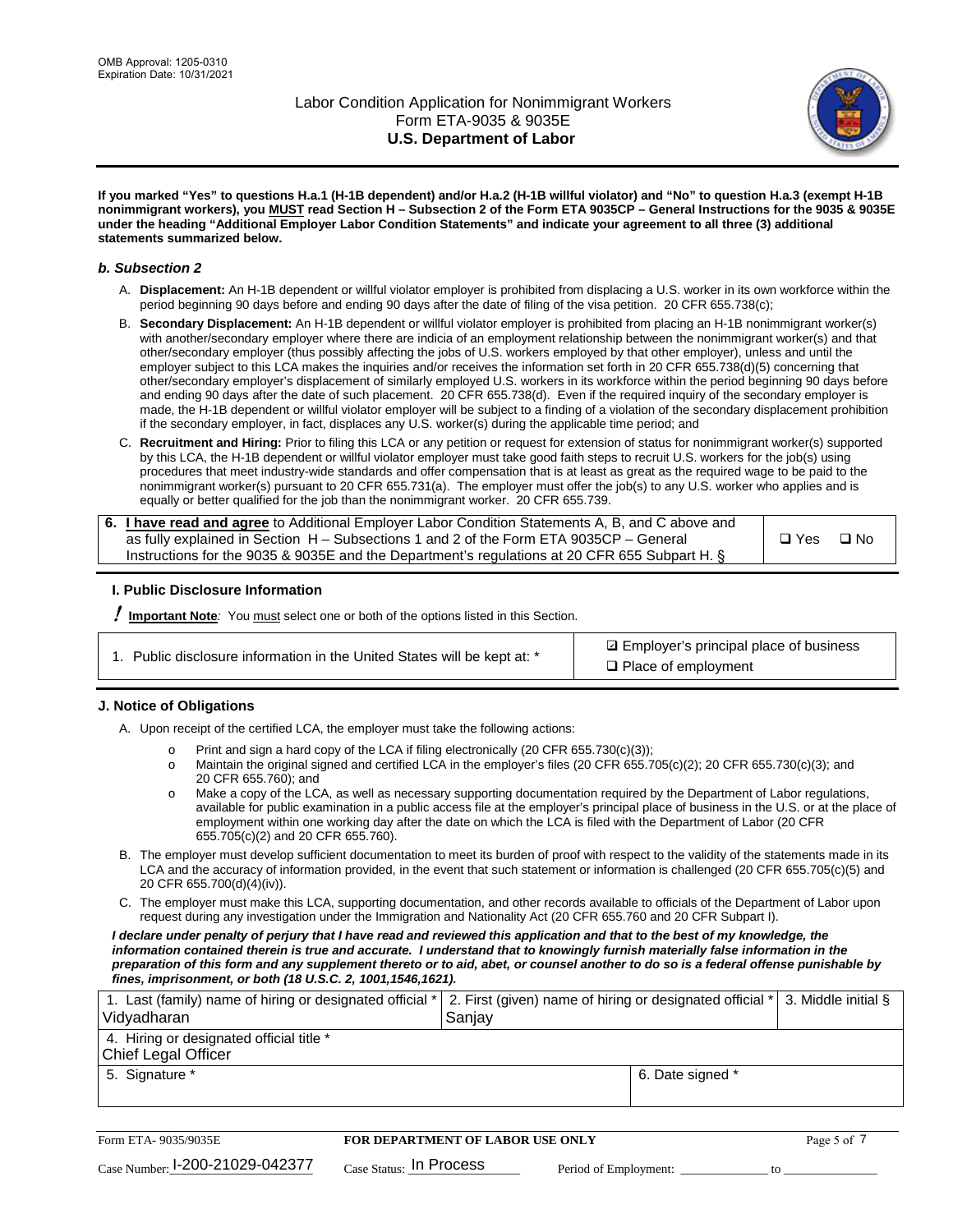

**If you marked "Yes" to questions H.a.1 (H-1B dependent) and/or H.a.2 (H-1B willful violator) and "No" to question H.a.3 (exempt H-1B nonimmigrant workers), you MUST read Section H – Subsection 2 of the Form ETA 9035CP – General Instructions for the 9035 & 9035E under the heading "Additional Employer Labor Condition Statements" and indicate your agreement to all three (3) additional statements summarized below.**

#### *b. Subsection 2*

- A. **Displacement:** An H-1B dependent or willful violator employer is prohibited from displacing a U.S. worker in its own workforce within the period beginning 90 days before and ending 90 days after the date of filing of the visa petition. 20 CFR 655.738(c);
- B. **Secondary Displacement:** An H-1B dependent or willful violator employer is prohibited from placing an H-1B nonimmigrant worker(s) with another/secondary employer where there are indicia of an employment relationship between the nonimmigrant worker(s) and that other/secondary employer (thus possibly affecting the jobs of U.S. workers employed by that other employer), unless and until the employer subject to this LCA makes the inquiries and/or receives the information set forth in 20 CFR 655.738(d)(5) concerning that other/secondary employer's displacement of similarly employed U.S. workers in its workforce within the period beginning 90 days before and ending 90 days after the date of such placement. 20 CFR 655.738(d). Even if the required inquiry of the secondary employer is made, the H-1B dependent or willful violator employer will be subject to a finding of a violation of the secondary displacement prohibition if the secondary employer, in fact, displaces any U.S. worker(s) during the applicable time period; and
- C. **Recruitment and Hiring:** Prior to filing this LCA or any petition or request for extension of status for nonimmigrant worker(s) supported by this LCA, the H-1B dependent or willful violator employer must take good faith steps to recruit U.S. workers for the job(s) using procedures that meet industry-wide standards and offer compensation that is at least as great as the required wage to be paid to the nonimmigrant worker(s) pursuant to 20 CFR 655.731(a). The employer must offer the job(s) to any U.S. worker who applies and is equally or better qualified for the job than the nonimmigrant worker. 20 CFR 655.739.

| 6. I have read and agree to Additional Employer Labor Condition Statements A, B, and C above and |       |           |
|--------------------------------------------------------------------------------------------------|-------|-----------|
| as fully explained in Section H – Subsections 1 and 2 of the Form ETA 9035CP – General           | □ Yes | $\Box$ No |
| Instructions for the 9035 & 9035E and the Department's regulations at 20 CFR 655 Subpart H. §    |       |           |

### **I. Public Disclosure Information**

! **Important Note***:* You must select one or both of the options listed in this Section.

|  | 1. Public disclosure information in the United States will be kept at: * |  |  |  |
|--|--------------------------------------------------------------------------|--|--|--|
|  |                                                                          |  |  |  |

**sqrt** Employer's principal place of business □ Place of employment

### **J. Notice of Obligations**

A. Upon receipt of the certified LCA, the employer must take the following actions:

- o Print and sign a hard copy of the LCA if filing electronically (20 CFR 655.730(c)(3));<br>
Maintain the original signed and certified LCA in the employer's files (20 CFR 655.7
- Maintain the original signed and certified LCA in the employer's files (20 CFR 655.705(c)(2); 20 CFR 655.730(c)(3); and 20 CFR 655.760); and
- o Make a copy of the LCA, as well as necessary supporting documentation required by the Department of Labor regulations, available for public examination in a public access file at the employer's principal place of business in the U.S. or at the place of employment within one working day after the date on which the LCA is filed with the Department of Labor (20 CFR 655.705(c)(2) and 20 CFR 655.760).
- B. The employer must develop sufficient documentation to meet its burden of proof with respect to the validity of the statements made in its LCA and the accuracy of information provided, in the event that such statement or information is challenged (20 CFR 655.705(c)(5) and 20 CFR 655.700(d)(4)(iv)).
- C. The employer must make this LCA, supporting documentation, and other records available to officials of the Department of Labor upon request during any investigation under the Immigration and Nationality Act (20 CFR 655.760 and 20 CFR Subpart I).

*I declare under penalty of perjury that I have read and reviewed this application and that to the best of my knowledge, the*  information contained therein is true and accurate. I understand that to knowingly furnish materially false information in the *preparation of this form and any supplement thereto or to aid, abet, or counsel another to do so is a federal offense punishable by fines, imprisonment, or both (18 U.S.C. 2, 1001,1546,1621).*

| 1. Last (family) name of hiring or designated official *   2. First (given) name of hiring or designated official *   3. Middle initial §<br>Vidyadharan | Saniav           |  |
|----------------------------------------------------------------------------------------------------------------------------------------------------------|------------------|--|
| 4. Hiring or designated official title *<br>Chief Legal Officer                                                                                          |                  |  |
| 5. Signature *                                                                                                                                           | 6. Date signed * |  |

| Form ETA-9035/9035E             | FOR DEPARTMENT OF LABOR USE ONLY |                       |  |
|---------------------------------|----------------------------------|-----------------------|--|
| Case Number: 1-200-21029-042377 | $_{Case\; Status:}$ In Process   | Period of Employment: |  |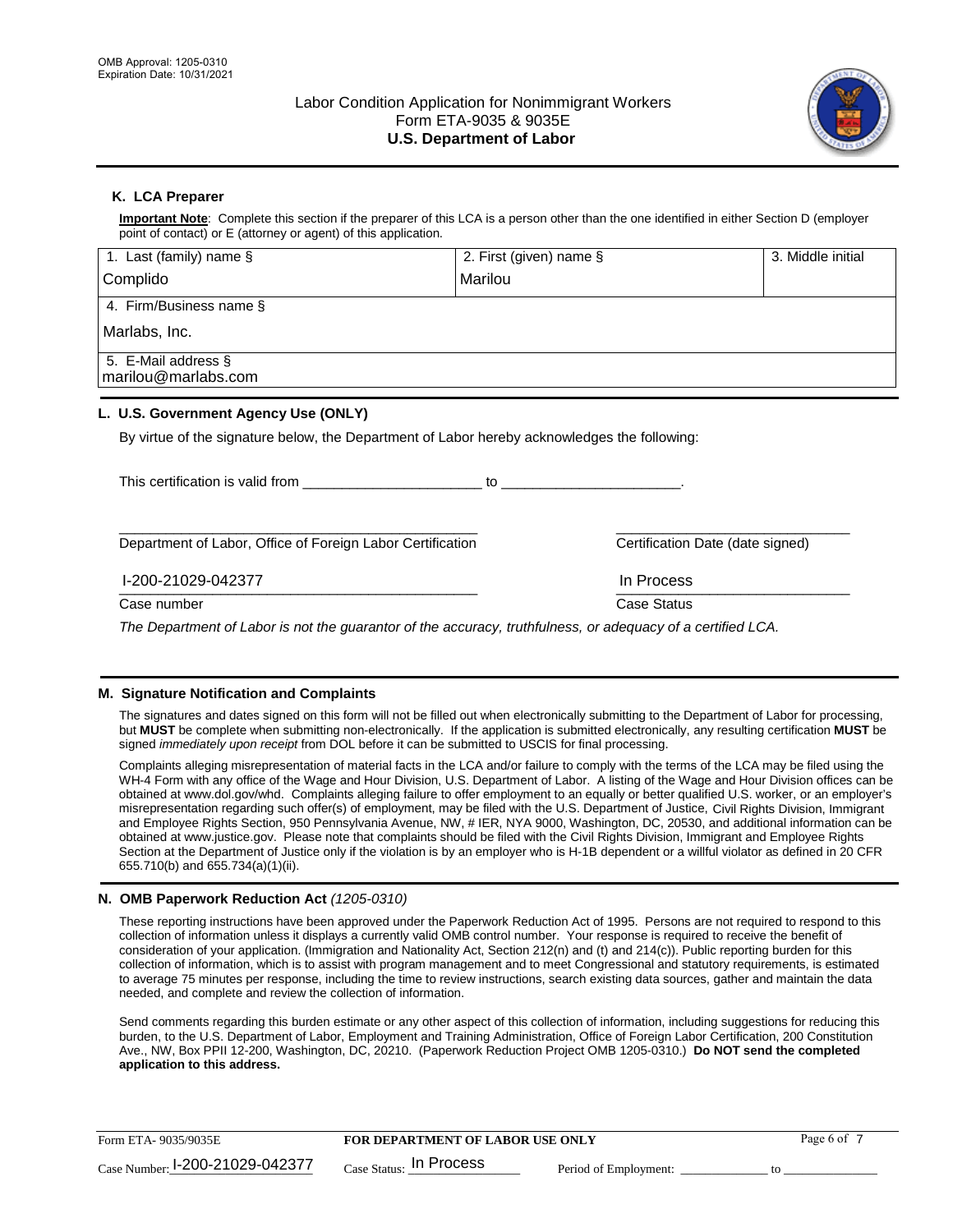

## **K. LCA Preparer**

**Important Note**: Complete this section if the preparer of this LCA is a person other than the one identified in either Section D (employer point of contact) or E (attorney or agent) of this application.

| 1. Last (family) name $\S$                                                                   | 2. First (given) name §                                                                                                                                                                                                        | 3. Middle initial |
|----------------------------------------------------------------------------------------------|--------------------------------------------------------------------------------------------------------------------------------------------------------------------------------------------------------------------------------|-------------------|
| Complido                                                                                     | Marilou                                                                                                                                                                                                                        |                   |
| 4. Firm/Business name §                                                                      |                                                                                                                                                                                                                                |                   |
| Marlabs, Inc.                                                                                |                                                                                                                                                                                                                                |                   |
| 5. E-Mail address §<br>marilou@marlabs.com                                                   |                                                                                                                                                                                                                                |                   |
| L. U.S. Government Agency Use (ONLY)                                                         |                                                                                                                                                                                                                                |                   |
| By virtue of the signature below, the Department of Labor hereby acknowledges the following: |                                                                                                                                                                                                                                |                   |
| This certification is valid from This certification is valid from                            | to the contract of the contract of the contract of the contract of the contract of the contract of the contract of the contract of the contract of the contract of the contract of the contract of the contract of the contrac |                   |
| Department of Labor, Office of Foreign Labor Certification                                   | Certification Date (date signed)                                                                                                                                                                                               |                   |

\_\_\_\_\_\_\_\_\_\_\_\_\_\_\_\_\_\_\_\_\_\_\_\_\_\_\_\_\_\_\_\_\_\_\_\_\_\_\_\_\_\_\_\_\_\_ \_\_\_\_\_\_\_\_\_\_\_\_\_\_\_\_\_\_\_\_\_\_\_\_\_\_\_\_\_\_ I-200-21029-042377 In Process

Case number **Case Status** Case Status **Case Status** 

*The Department of Labor is not the guarantor of the accuracy, truthfulness, or adequacy of a certified LCA.*

### **M. Signature Notification and Complaints**

The signatures and dates signed on this form will not be filled out when electronically submitting to the Department of Labor for processing, but **MUST** be complete when submitting non-electronically. If the application is submitted electronically, any resulting certification **MUST** be signed *immediately upon receipt* from DOL before it can be submitted to USCIS for final processing.

Complaints alleging misrepresentation of material facts in the LCA and/or failure to comply with the terms of the LCA may be filed using the WH-4 Form with any office of the Wage and Hour Division, U.S. Department of Labor. A listing of the Wage and Hour Division offices can be obtained at www.dol.gov/whd. Complaints alleging failure to offer employment to an equally or better qualified U.S. worker, or an employer's misrepresentation regarding such offer(s) of employment, may be filed with the U.S. Department of Justice, Civil Rights Division, Immigrant and Employee Rights Section, 950 Pennsylvania Avenue, NW, # IER, NYA 9000, Washington, DC, 20530, and additional information can be obtained at www.justice.gov. Please note that complaints should be filed with the Civil Rights Division, Immigrant and Employee Rights Section at the Department of Justice only if the violation is by an employer who is H-1B dependent or a willful violator as defined in 20 CFR 655.710(b) and 655.734(a)(1)(ii).

### **N. OMB Paperwork Reduction Act** *(1205-0310)*

These reporting instructions have been approved under the Paperwork Reduction Act of 1995. Persons are not required to respond to this collection of information unless it displays a currently valid OMB control number. Your response is required to receive the benefit of consideration of your application. (Immigration and Nationality Act, Section 212(n) and (t) and 214(c)). Public reporting burden for this collection of information, which is to assist with program management and to meet Congressional and statutory requirements, is estimated to average 75 minutes per response, including the time to review instructions, search existing data sources, gather and maintain the data needed, and complete and review the collection of information.

Send comments regarding this burden estimate or any other aspect of this collection of information, including suggestions for reducing this burden, to the U.S. Department of Labor, Employment and Training Administration, Office of Foreign Labor Certification, 200 Constitution Ave., NW, Box PPII 12-200, Washington, DC, 20210. (Paperwork Reduction Project OMB 1205-0310.) **Do NOT send the completed application to this address.**

| Form ETA-9035/9035E             | <b>FOR DEPARTMENT OF LABOR USE ONLY</b> | Page 6 of             |  |
|---------------------------------|-----------------------------------------|-----------------------|--|
| Case Number: 1-200-21029-042377 | $_{\text{Case Status:}}$ In Process     | Period of Employment: |  |